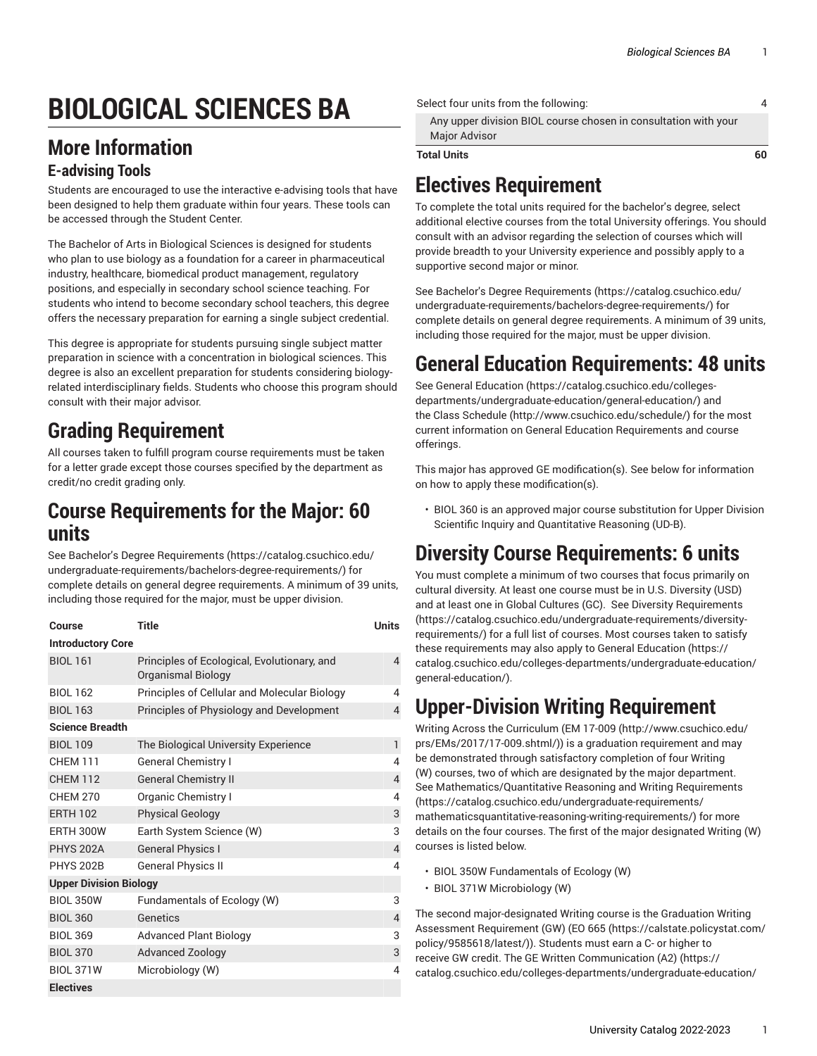# **BIOLOGICAL SCIENCES BA**

#### **More Information**

#### **E-advising Tools**

Students are encouraged to use the interactive e-advising tools that have been designed to help them graduate within four years. These tools can be accessed through the Student Center.

The Bachelor of Arts in Biological Sciences is designed for students who plan to use biology as a foundation for a career in pharmaceutical industry, healthcare, biomedical product management, regulatory positions, and especially in secondary school science teaching. For students who intend to become secondary school teachers, this degree offers the necessary preparation for earning a single subject credential.

This degree is appropriate for students pursuing single subject matter preparation in science with a concentration in biological sciences. This degree is also an excellent preparation for students considering biologyrelated interdisciplinary fields. Students who choose this program should consult with their major advisor.

#### **Grading Requirement**

All courses taken to fulfill program course requirements must be taken for a letter grade except those courses specified by the department as credit/no credit grading only.

#### **Course Requirements for the Major: 60 units**

See Bachelor's Degree [Requirements](https://catalog.csuchico.edu/undergraduate-requirements/bachelors-degree-requirements/) ([https://catalog.csuchico.edu/](https://catalog.csuchico.edu/undergraduate-requirements/bachelors-degree-requirements/) [undergraduate-requirements/bachelors-degree-requirements/\)](https://catalog.csuchico.edu/undergraduate-requirements/bachelors-degree-requirements/) for complete details on general degree requirements. A minimum of 39 units, including those required for the major, must be upper division.

| Course                        | <b>Title</b>                                                      | <b>Units</b>   |  |
|-------------------------------|-------------------------------------------------------------------|----------------|--|
| <b>Introductory Core</b>      |                                                                   |                |  |
| <b>BIOL 161</b>               | Principles of Ecological, Evolutionary, and<br>Organismal Biology | 4              |  |
| <b>BIOL 162</b>               | Principles of Cellular and Molecular Biology                      | 4              |  |
| <b>BIOL 163</b>               | Principles of Physiology and Development                          | $\overline{4}$ |  |
| <b>Science Breadth</b>        |                                                                   |                |  |
| <b>BIOL 109</b>               | The Biological University Experience                              | $\mathbf{1}$   |  |
| <b>CHEM 111</b>               | <b>General Chemistry I</b>                                        | 4              |  |
| <b>CHEM 112</b>               | <b>General Chemistry II</b>                                       | 4              |  |
| <b>CHEM 270</b>               | Organic Chemistry I                                               | 4              |  |
| <b>ERTH 102</b>               | <b>Physical Geology</b>                                           | 3              |  |
| <b>ERTH 300W</b>              | Earth System Science (W)                                          | 3              |  |
| <b>PHYS 202A</b>              | <b>General Physics I</b>                                          | 4              |  |
| <b>PHYS 202B</b>              | <b>General Physics II</b>                                         | 4              |  |
| <b>Upper Division Biology</b> |                                                                   |                |  |
| <b>BIOL 350W</b>              | Fundamentals of Ecology (W)                                       | 3              |  |
| <b>BIOL 360</b>               | Genetics                                                          | $\overline{4}$ |  |
| <b>BIOL 369</b>               | <b>Advanced Plant Biology</b>                                     | 3              |  |
| <b>BIOL 370</b>               | <b>Advanced Zoology</b>                                           | 3              |  |
| <b>BIOL 371W</b>              | Microbiology (W)                                                  | 4              |  |
| <b>Electives</b>              |                                                                   |                |  |

| Select four units from the following: |                                                                                         |    |
|---------------------------------------|-----------------------------------------------------------------------------------------|----|
|                                       | Any upper division BIOL course chosen in consultation with your<br><b>Major Advisor</b> |    |
|                                       | <b>Total Units</b>                                                                      | 60 |

## **Electives Requirement**

To complete the total units required for the bachelor's degree, select additional elective courses from the total University offerings. You should consult with an advisor regarding the selection of courses which will provide breadth to your University experience and possibly apply to a supportive second major or minor.

See Bachelor's Degree [Requirements \(https://catalog.csuchico.edu/](https://catalog.csuchico.edu/undergraduate-requirements/bachelors-degree-requirements/) [undergraduate-requirements/bachelors-degree-requirements/](https://catalog.csuchico.edu/undergraduate-requirements/bachelors-degree-requirements/)) for complete details on general degree requirements. A minimum of 39 units, including those required for the major, must be upper division.

## **General Education Requirements: 48 units**

See General [Education \(https://catalog.csuchico.edu/colleges](https://catalog.csuchico.edu/colleges-departments/undergraduate-education/general-education/)[departments/undergraduate-education/general-education/\)](https://catalog.csuchico.edu/colleges-departments/undergraduate-education/general-education/) and the [Class Schedule](http://www.csuchico.edu/schedule/) ([http://www.csuchico.edu/schedule/\)](http://www.csuchico.edu/schedule/) for the most current information on General Education Requirements and course offerings.

This major has approved GE modification(s). See below for information on how to apply these modification(s).

• BIOL 360 is an approved major course substitution for Upper Division Scientific Inquiry and Quantitative Reasoning (UD-B).

## **Diversity Course Requirements: 6 units**

You must complete a minimum of two courses that focus primarily on cultural diversity. At least one course must be in U.S. Diversity (USD) and at least one in Global Cultures (GC). See Diversity [Requirements](https://catalog.csuchico.edu/undergraduate-requirements/diversity-requirements/) [\(https://catalog.csuchico.edu/undergraduate-requirements/diversity](https://catalog.csuchico.edu/undergraduate-requirements/diversity-requirements/)[requirements/](https://catalog.csuchico.edu/undergraduate-requirements/diversity-requirements/)) for a full list of courses. Most courses taken to satisfy these requirements may also apply to General [Education \(https://](https://catalog.csuchico.edu/colleges-departments/undergraduate-education/general-education/) [catalog.csuchico.edu/colleges-departments/undergraduate-education/](https://catalog.csuchico.edu/colleges-departments/undergraduate-education/general-education/) [general-education/](https://catalog.csuchico.edu/colleges-departments/undergraduate-education/general-education/)).

## **Upper-Division Writing Requirement**

Writing Across the Curriculum [\(EM 17-009 \(http://www.csuchico.edu/](http://www.csuchico.edu/prs/EMs/2017/17-009.shtml/) [prs/EMs/2017/17-009.shtml/](http://www.csuchico.edu/prs/EMs/2017/17-009.shtml/))) is a graduation requirement and may be demonstrated through satisfactory completion of four Writing (W) courses, two of which are designated by the major department. See [Mathematics/Quantitative](https://catalog.csuchico.edu/undergraduate-requirements/mathematicsquantitative-reasoning-writing-requirements/) Reasoning and Writing Requirements [\(https://catalog.csuchico.edu/undergraduate-requirements/](https://catalog.csuchico.edu/undergraduate-requirements/mathematicsquantitative-reasoning-writing-requirements/) [mathematicsquantitative-reasoning-writing-requirements/\)](https://catalog.csuchico.edu/undergraduate-requirements/mathematicsquantitative-reasoning-writing-requirements/) for more details on the four courses. The first of the major designated Writing (W) courses is listed below.

- BIOL 350W Fundamentals of Ecology (W)
- BIOL 371W Microbiology (W)

The second major-designated Writing course is the Graduation Writing Assessment Requirement (GW) ([EO 665](https://calstate.policystat.com/policy/9585618/latest/) ([https://calstate.policystat.com/](https://calstate.policystat.com/policy/9585618/latest/) [policy/9585618/latest/\)](https://calstate.policystat.com/policy/9585618/latest/)). Students must earn a C- or higher to receive GW credit. The GE Written [Communication](https://catalog.csuchico.edu/colleges-departments/undergraduate-education/general-education/#A2) (A2) [\(https://](https://catalog.csuchico.edu/colleges-departments/undergraduate-education/general-education/#A2) [catalog.csuchico.edu/colleges-departments/undergraduate-education/](https://catalog.csuchico.edu/colleges-departments/undergraduate-education/general-education/#A2)